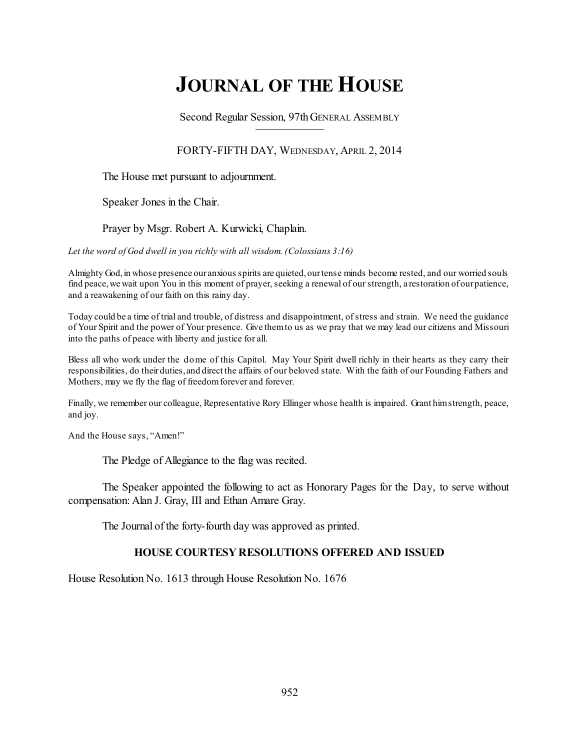# **JOURNAL OF THE HOUSE**

Second Regular Session, 97thGENERAL ASSEMBLY

FORTY-FIFTH DAY, WEDNESDAY, APRIL 2, 2014

The House met pursuant to adjournment.

Speaker Jones in the Chair.

Prayer by Msgr. Robert A. Kurwicki, Chaplain.

*Let the word of God dwell in you richly with all wisdom. (Colossians 3:16)*

Almighty God,in whose presence our anxious spirits are quieted,ourtense minds become rested, and our worried souls find peace, we wait upon You in this moment of prayer, seeking a renewal of our strength, a restoration of our patience, and a reawakening of our faith on this rainy day.

Today could be a time of trial and trouble, of distress and disappointment, ofstress and strain. We need the guidance of Your Spirit and the power of Your presence. Give themto us as we pray that we may lead our citizens and Missouri into the paths of peace with liberty and justice for all.

Bless all who work under the dome of this Capitol. May Your Spirit dwell richly in their hearts as they carry their responsibilities, do their duties, and direct the affairs of our beloved state. With the faith of our Founding Fathers and Mothers, may we fly the flag of freedom forever and forever.

Finally, we remember our colleague, Representative Rory Ellinger whose health is impaired. Grant himstrength, peace, and joy.

And the House says, "Amen!"

The Pledge of Allegiance to the flag was recited.

The Speaker appointed the following to act as Honorary Pages for the Day, to serve without compensation: Alan J. Gray, III and Ethan Amare Gray.

The Journal of the forty-fourth day was approved as printed.

## **HOUSE COURTESY RESOLUTIONS OFFERED AND ISSUED**

House Resolution No. 1613 through House Resolution No. 1676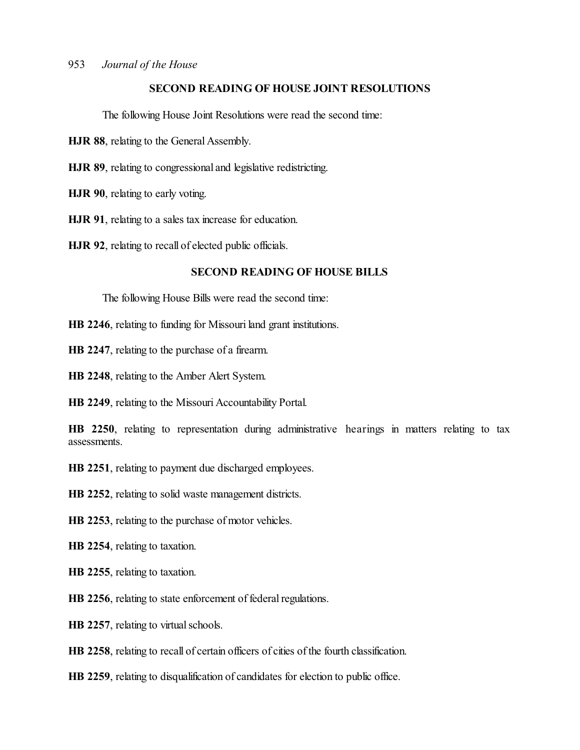## **SECOND READING OF HOUSE JOINT RESOLUTIONS**

The following House Joint Resolutions were read the second time:

**HJR 88**, relating to the General Assembly.

**HJR 89**, relating to congressional and legislative redistricting.

**HJR 90**, relating to early voting.

**HJR 91**, relating to a sales tax increase for education.

**HJR 92**, relating to recall of elected public officials.

## **SECOND READING OF HOUSE BILLS**

The following House Bills were read the second time:

**HB 2246**, relating to funding for Missouri land grant institutions.

**HB 2247**, relating to the purchase of a firearm.

**HB 2248**, relating to the Amber Alert System.

**HB 2249**, relating to the Missouri Accountability Portal.

**HB 2250**, relating to representation during administrative hearings in matters relating to tax assessments.

**HB 2251**, relating to payment due discharged employees.

**HB 2252**, relating to solid waste management districts.

**HB 2253**, relating to the purchase of motor vehicles.

**HB 2254**, relating to taxation.

**HB 2255**, relating to taxation.

**HB 2256**, relating to state enforcement of federal regulations.

**HB 2257**, relating to virtual schools.

**HB 2258**, relating to recall of certain officers of cities of the fourth classification.

**HB 2259**, relating to disqualification of candidates for election to public office.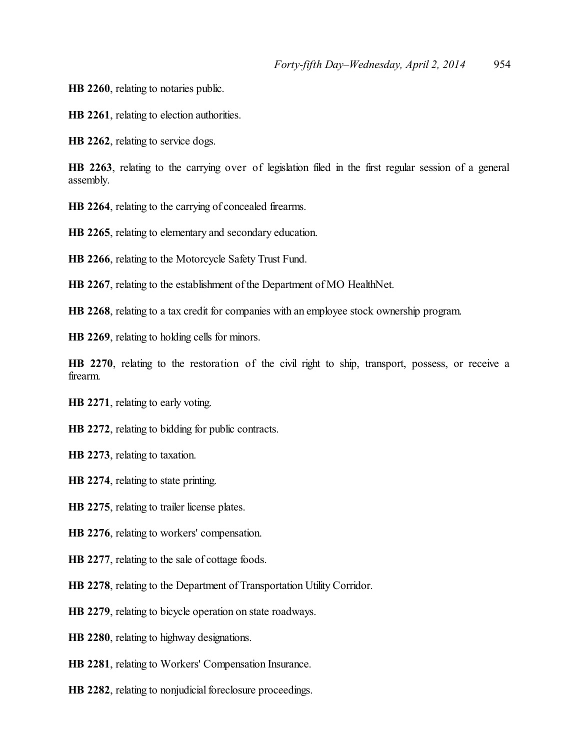**HB 2260**, relating to notaries public.

**HB 2261**, relating to election authorities.

**HB 2262**, relating to service dogs.

**HB 2263**, relating to the carrying over of legislation filed in the first regular session of a general assembly.

**HB 2264**, relating to the carrying of concealed firearms.

**HB 2265**, relating to elementary and secondary education.

**HB 2266**, relating to the Motorcycle Safety Trust Fund.

**HB 2267**, relating to the establishment of the Department of MO HealthNet.

**HB 2268**, relating to a tax credit for companies with an employee stock ownership program.

**HB 2269**, relating to holding cells for minors.

**HB 2270**, relating to the restoration of the civil right to ship, transport, possess, or receive a firearm.

**HB 2271**, relating to early voting.

**HB 2272**, relating to bidding for public contracts.

**HB 2273**, relating to taxation.

**HB 2274**, relating to state printing.

**HB 2275**, relating to trailer license plates.

**HB 2276**, relating to workers' compensation.

**HB 2277**, relating to the sale of cottage foods.

**HB 2278**, relating to the Department of Transportation Utility Corridor.

**HB 2279**, relating to bicycle operation on state roadways.

**HB 2280**, relating to highway designations.

**HB 2281**, relating to Workers' Compensation Insurance.

**HB 2282**, relating to nonjudicial foreclosure proceedings.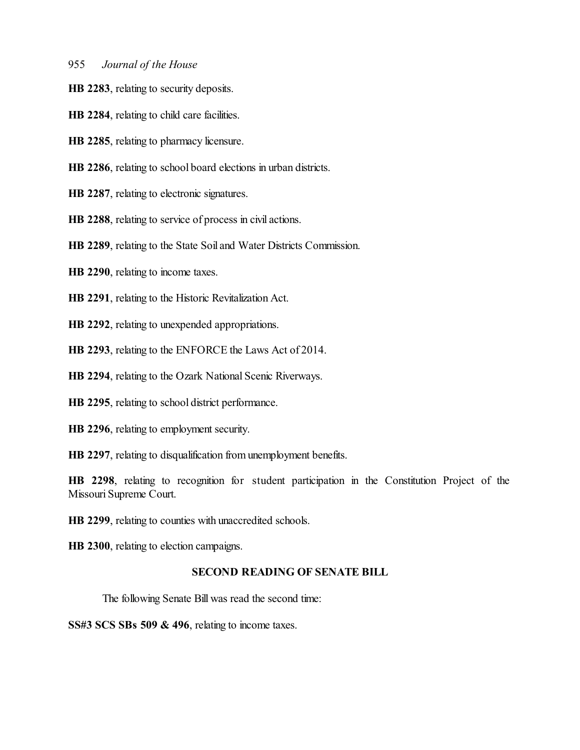**HB 2283**, relating to security deposits.

**HB 2284**, relating to child care facilities.

**HB 2285**, relating to pharmacy licensure.

**HB 2286**, relating to school board elections in urban districts.

**HB 2287**, relating to electronic signatures.

**HB 2288**, relating to service of process in civil actions.

**HB 2289**, relating to the State Soil and Water Districts Commission.

**HB 2290**, relating to income taxes.

**HB 2291**, relating to the Historic Revitalization Act.

**HB 2292**, relating to unexpended appropriations.

**HB 2293**, relating to the ENFORCE the Laws Act of 2014.

**HB 2294**, relating to the Ozark National Scenic Riverways.

**HB 2295**, relating to school district performance.

**HB 2296**, relating to employment security.

**HB 2297**, relating to disqualification from unemployment benefits.

**HB 2298**, relating to recognition for student participation in the Constitution Project of the Missouri Supreme Court.

**HB 2299**, relating to counties with unaccredited schools.

**HB 2300**, relating to election campaigns.

#### **SECOND READING OF SENATE BILL**

The following Senate Bill was read the second time:

**SS#3 SCS SBs 509 & 496**, relating to income taxes.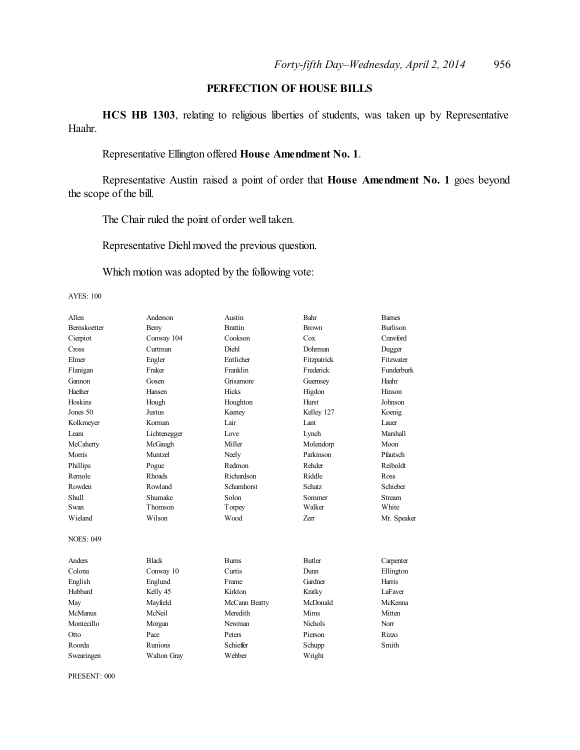## **PERFECTION OF HOUSE BILLS**

**HCS HB 1303**, relating to religious liberties of students, was taken up by Representative Haahr.

# Representative Ellington offered **House Amendment No. 1**.

Representative Austin raised a point of order that **House Amendment No. 1** goes beyond the scope of the bill.

The Chair ruled the point of order well taken.

Representative Diehl moved the previous question.

Which motion was adopted by the following vote:

AYES: 100

| Allen               | Anderson           | Austin         | Bahr           | <b>Barnes</b>   |
|---------------------|--------------------|----------------|----------------|-----------------|
| <b>Bernskoetter</b> | Berry              | <b>Brattin</b> | <b>Brown</b>   | <b>Burlison</b> |
| Cierpiot            | Conway 104         | Cookson        | Cox            | Crawford        |
| Cross               | Curtman            | Diehl          | Dohrman        | Dugger          |
| Elmer               | Engler             | Entlicher      | Fitzpatrick    | Fitzwater       |
| Flanigan            | Fraker             | Franklin       | Frederick      | Funderburk      |
| Gannon              | Gosen              | Grisamore      | Guernsey       | Haahr           |
| Haefner             | Hansen             | Hicks          | Higdon         | Hinson          |
| Hoskins             | Hough              | Houghton       | Hurst          | Johnson         |
| Jones 50            | Justus             | Keeney         | Kelley 127     | Koenig          |
| Kolkmeyer           | Korman             | Lair           | Lant           | Lauer           |
| Leara               | Lichtenegger       | Love           | Lynch          | <b>Marshall</b> |
| McCaherty           | McGaugh            | Miller         | Molendorp      | Moon            |
| Morris              | Muntzel            | Neely          | Parkinson      | Pfautsch        |
| Phillips            | Pogue              | Redmon         | Rehder         | Reiboldt        |
| Remole              | Rhoads             | Richardson     | Riddle         | Ross            |
| Rowden              | Rowland            | Scharnhorst    | Schatz         | Schieber        |
| Shull               | Shumake            | Solon          | Sommer         | Stream          |
| Swan                | Thomson            | Torpey         | Walker         | White           |
| Wieland             | Wilson             | Wood           | <b>Zerr</b>    | Mr. Speaker     |
| <b>NOES: 049</b>    |                    |                |                |                 |
| Anders              | <b>Black</b>       | <b>Bums</b>    | <b>Butler</b>  | Carpenter       |
| Colona              | Conway 10          | Curtis         | Dunn           | Ellington       |
| English             | Englund            | Frame          | Gardner        | Harris          |
| Hubbard             | Kelly 45           | Kirkton        | Kratky         | LaFaver         |
| May                 | Mayfield           | McCann Beatty  | McDonald       | McKenna         |
| McManus             | McNeil             | Meredith       | Mims           | Mitten          |
| Montecillo          | Morgan             | Newman         | <b>Nichols</b> | Norr            |
| Otto                | Pace               | Peters         | Pierson        | Rizzo           |
| Roorda              | Runions            | Schieffer      | Schupp         | Smith           |
| Swearingen          | <b>Walton Gray</b> | Webber         | Wright         |                 |

PRESENT: 000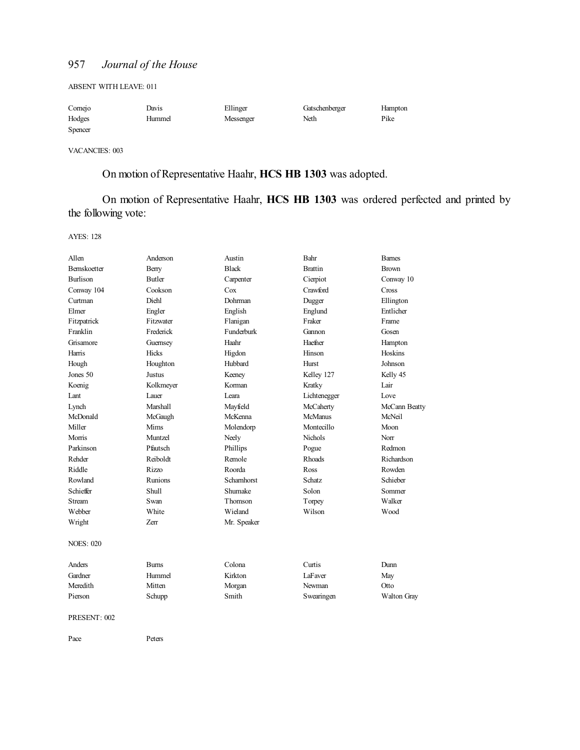ABSENT WITH LEAVE: 011

| Comejo  | Davis  | Ellinger  | Gatschenberger | Hampton |
|---------|--------|-----------|----------------|---------|
| Hodges  | Hummel | Messenger | Neth           | Pike    |
| Spencer |        |           |                |         |

VACANCIES: 003

# On motion of Representative Haahr, **HCS HB 1303** was adopted.

On motion of Representative Haahr, **HCS HB 1303** was ordered perfected and printed by the following vote:

AYES: 128

| Allen               | Anderson        | Austin            | Bahr           | <b>Barnes</b> |
|---------------------|-----------------|-------------------|----------------|---------------|
| <b>Bernskoetter</b> | Berry           | <b>Black</b>      | <b>Brattin</b> | <b>Brown</b>  |
| <b>Burlison</b>     | Butler          | Carpenter         | Cierpiot       | Conway 10     |
| Conway 104          | Cookson         | Cox               | Crawford       | Cross         |
| Curtman             | Diehl           | Dohrman           | Dugger         | Ellington     |
| Elmer               | Engler          | English           | Englund        | Entlicher     |
| Fitzpatrick         | Fitzwater       | Flanigan          | Fraker         | Frame         |
| Franklin            | Frederick       | <b>Funderburk</b> | Gannon         | Gosen         |
| Grisamore           | Guernsey        | Haahr             | Haefner        | Hampton       |
| Harris              | Hicks           | Higdon            | Hinson         | Hoskins       |
| Hough               | Houghton        | Hubbard           | Hurst          | Johnson       |
| Jones 50            | <b>Justus</b>   | Keeney            | Kelley 127     | Kelly 45      |
| Koenig              | Kolkmeyer       | Korman            | Kratky         | Lair          |
| Lant                | Lauer           | Leara             | Lichtenegger   | Love          |
| Lynch               | <b>Marshall</b> | Mayfield          | McCaherty      | McCann Beatty |
| McDonald            | McGaugh         | McKenna           | <b>McManus</b> | McNeil        |
| Miller              | Mims            | Molendorp         | Montecillo     | Moon          |
| Morris              | Muntzel         | Neely             | Nichols        | Norr          |
| Parkinson           | Pfautsch        | Phillips          | Pogue          | Redmon        |
| Rehder              | Reiboldt        | Remole            | <b>Rhoads</b>  | Richardson    |
| Riddle              | Rizzo           | Roorda            | Ross           | Rowden        |
| Rowland             | Runions         | Schamhorst        | Schatz         | Schieber      |
| Schieffer           | <b>Shull</b>    | Shumake           | Solon          | Sommer        |
| Stream              | Swan            | Thomson           | Torpey         | Walker        |
| Webber              | White           | Wieland           | Wilson         | Wood          |
| Wright              | Zerr            | Mr. Speaker       |                |               |
| <b>NOES: 020</b>    |                 |                   |                |               |
| Anders              | <b>Burns</b>    | Colona            | Curtis         | Dunn          |
| Gardner             | Hummel          | Kirkton           | LaFaver        | May           |
| Meredith            | Mitten          | Morgan            | Newman         | Otto          |
| Pierson             | Schupp          | Smith             | Swearingen     | Walton Gray   |
|                     |                 |                   |                |               |

#### PRESENT: 002

Pace Peters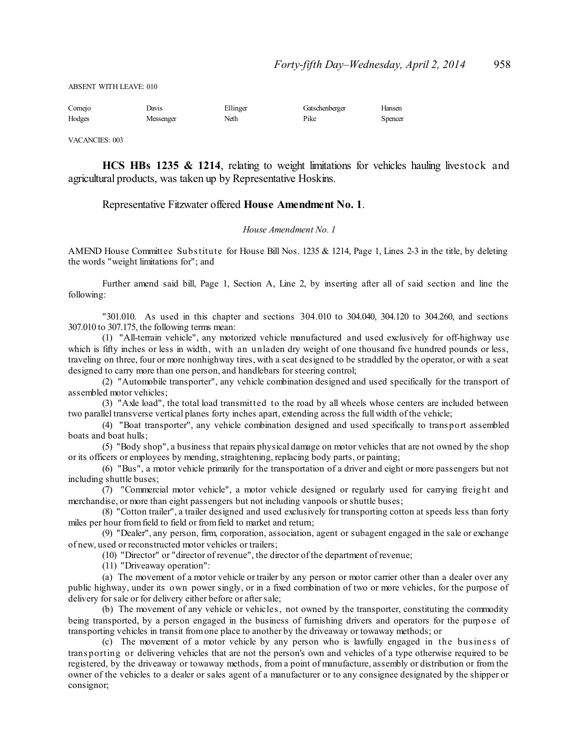ABSENT WITH LEAVE: 010

| Comejo | Davis     | Ellinger | Gatschenberger | Hansen  |
|--------|-----------|----------|----------------|---------|
| Hodges | Messenger | Neth     | Pike           | Spencer |

VACANCIES: 003

**HCS HBs 1235 & 1214**, relating to weight limitations for vehicles hauling livestock and agricultural products, was taken up by Representative Hoskins.

#### Representative Fitzwater offered **House Amendment No. 1**.

#### *House Amendment No. 1*

AMEND House Committee Substitute for House Bill Nos. 1235 & 1214, Page 1, Lines 2-3 in the title, by deleting the words "weight limitations for"; and

Further amend said bill, Page 1, Section A, Line 2, by inserting after all of said section and line the following:

"301.010. As used in this chapter and sections 304.010 to 304.040, 304.120 to 304.260, and sections 307.010 to 307.175, the following terms mean:

(1) "All-terrain vehicle", any motorized vehicle manufactured and used exclusively for off-highway use which is fifty inches or less in width, with an unladen dry weight of one thousand five hundred pounds or less, traveling on three, four or more nonhighway tires, with a seat designed to be straddled by the operator, or with a seat designed to carry more than one person, and handlebars for steering control;

(2) "Automobile transporter", any vehicle combination designed and used specifically for the transport of assembled motor vehicles;

(3) "Axle load", the total load transmitted to the road by all wheels whose centers are included between two parallel transverse vertical planes forty inches apart, extending across the full width of the vehicle;

(4) "Boat transporter", any vehicle combination designed and used specifically to trans port assembled boats and boat hulls;

(5) "Body shop", a business that repairs physical damage on motor vehicles that are not owned by the shop or its officers or employees by mending, straightening, replacing body parts, or painting;

(6) "Bus", a motor vehicle primarily for the transportation of a driver and eight or more passengers but not including shuttle buses;

(7) "Commercial motor vehicle", a motor vehicle designed or regularly used for carrying freight and merchandise, or more than eight passengers but not including vanpools orshuttle buses;

(8) "Cotton trailer", a trailer designed and used exclusively for transporting cotton at speeds less than forty miles per hour fromfield to field or fromfield to market and return;

(9) "Dealer", any person, firm, corporation, association, agent or subagent engaged in the sale or exchange of new, used or reconstructed motor vehicles or trailers;

(10) "Director" or "director of revenue", the director of the department of revenue;

(11) "Driveaway operation":

(a) The movement of a motor vehicle or trailer by any person or motor carrier other than a dealer over any public highway, under its own power singly, or in a fixed combination of two or more vehicles, for the purpose of delivery for sale or for delivery either before or after sale;

(b) The movement of any vehicle or vehicles, not owned by the transporter, constituting the commodity being transported, by a person engaged in the business of furnishing drivers and operators for the purpose of transporting vehicles in transit fromone place to another by the driveaway or towaway methods; or

(c) The movement of a motor vehicle by any person who is lawfully engaged in the business of trans porting or delivering vehicles that are not the person's own and vehicles of a type otherwise required to be registered, by the driveaway or towaway methods, from a point of manufacture, assembly or distribution or from the owner of the vehicles to a dealer or sales agent of a manufacturer or to any consignee designated by the shipper or consignor;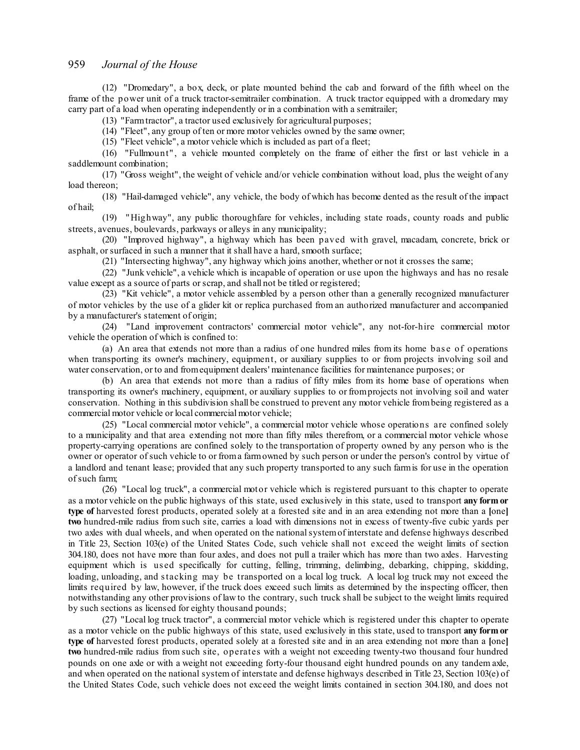(12) "Dromedary", a box, deck, or plate mounted behind the cab and forward of the fifth wheel on the frame of the power unit of a truck tractor-semitrailer combination. A truck tractor equipped with a dromedary may carry part of a load when operating independently or in a combination with a semitrailer;

(13) "Farmtractor", a tractor used exclusively for agricultural purposes;

(14) "Fleet", any group of ten or more motor vehicles owned by the same owner;

(15) "Fleet vehicle", a motor vehicle which is included as part of a fleet;

(16) "Fullmount" , a vehicle mounted completely on the frame of either the first or last vehicle in a saddlemount combination;

(17) "Gross weight", the weight of vehicle and/or vehicle combination without load, plus the weight of any load thereon;

(18) "Hail-damaged vehicle", any vehicle, the body of which has become dented as the result of the impact of hail;

(19) "Highway", any public thoroughfare for vehicles, including state roads, county roads and public streets, avenues, boulevards, parkways or alleys in any municipality;

(20) "Improved highway", a highway which has been paved with gravel, macadam, concrete, brick or asphalt, or surfaced in such a manner that it shall have a hard, smooth surface;

(21) "Intersecting highway", any highway which joins another, whether or not it crosses the same;

(22) "Junk vehicle", a vehicle which is incapable of operation or use upon the highways and has no resale value except as a source of parts orscrap, and shall not be titled or registered;

(23) "Kit vehicle", a motor vehicle assembled by a person other than a generally recognized manufacturer of motor vehicles by the use of a glider kit or replica purchased from an authorized manufacturer and accompanied by a manufacturer's statement of origin;

(24) "Land improvement contractors' commercial motor vehicle", any not-for-hire commercial motor vehicle the operation of which is confined to:

(a) An area that extends not more than a radius of one hundred miles from its home bas e of operations when transporting its owner's machinery, equipment, or auxiliary supplies to or from projects involving soil and water conservation, or to and fromequipment dealers' maintenance facilities for maintenance purposes; or

(b) An area that extends not more than a radius of fifty miles from its home base of operations when transporting its owner's machinery, equipment, or auxiliary supplies to or fromprojects not involving soil and water conservation. Nothing in this subdivision shall be construed to prevent any motor vehicle frombeing registered as a commercial motor vehicle or local commercial motor vehicle;

(25) "Local commercial motor vehicle", a commercial motor vehicle whose operations are confined solely to a municipality and that area extending not more than fifty miles therefrom, or a commercial motor vehicle whose property-carrying operations are confined solely to the transportation of property owned by any person who is the owner or operator ofsuch vehicle to or froma farmowned by such person or under the person's control by virtue of a landlord and tenant lease; provided that any such property transported to any such farmis for use in the operation ofsuch farm;

(26) "Local log truck", a commercial motor vehicle which is registered pursuant to this chapter to operate as a motor vehicle on the public highways of this state, used exclusively in this state, used to transport **any form or type of** harvested forest products, operated solely at a forested site and in an area extending not more than a **[**one**] two** hundred-mile radius from such site, carries a load with dimensions not in excess of twenty-five cubic yards per two axles with dual wheels, and when operated on the nationalsystemof interstate and defense highways described in Title 23, Section 103(e) of the United States Code, such vehicle shall not exceed the weight limits of section 304.180, does not have more than four axles, and does not pull a trailer which has more than two axles. Harvesting equipment which is us ed specifically for cutting, felling, trimming, delimbing, debarking, chipping, skidding, loading, unloading, and stacking may be transported on a local log truck. A local log truck may not exceed the limits required by law, however, if the truck does exceed such limits as determined by the inspecting officer, then notwithstanding any other provisions of law to the contrary, such truck shall be subject to the weight limits required by such sections as licensed for eighty thousand pounds;

(27) "Local log truck tractor", a commercial motor vehicle which is registered under this chapter to operate as a motor vehicle on the public highways of this state, used exclusively in this state, used to transport **any form or type of** harvested forest products, operated solely at a forested site and in an area extending not more than a **[**one**] two** hundred-mile radius from such site, operates with a weight not exceeding twenty-two thousand four hundred pounds on one axle or with a weight not exceeding forty-four thousand eight hundred pounds on any tandem axle, and when operated on the national system of interstate and defense highways described in Title 23, Section 103(e) of the United States Code, such vehicle does not exceed the weight limits contained in section 304.180, and does not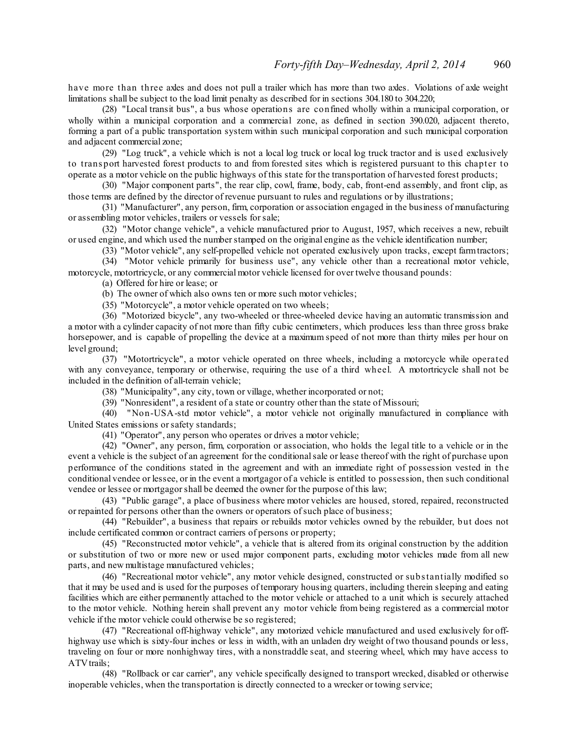have more than three axles and does not pull a trailer which has more than two axles. Violations of axle weight limitations shall be subject to the load limit penalty as described for in sections 304.180 to 304.220;

(28) "Local transit bus", a bus whose operations are confined wholly within a municipal corporation, or wholly within a municipal corporation and a commercial zone, as defined in section 390.020, adjacent thereto, forming a part of a public transportation system within such municipal corporation and such municipal corporation and adjacent commercial zone;

(29) "Log truck", a vehicle which is not a local log truck or local log truck tractor and is used exclusively to trans port harvested forest products to and from forested sites which is registered pursuant to this chapter to operate as a motor vehicle on the public highways of this state for the transportation of harvested forest products;

(30) "Major component parts", the rear clip, cowl, frame, body, cab, front-end assembly, and front clip, as those terms are defined by the director of revenue pursuant to rules and regulations or by illustrations;

(31) "Manufacturer", any person, firm, corporation or association engaged in the business of manufacturing or assembling motor vehicles, trailers or vessels forsale;

(32) "Motor change vehicle", a vehicle manufactured prior to August, 1957, which receives a new, rebuilt or used engine, and which used the numberstamped on the original engine as the vehicle identification number;

(33) "Motor vehicle", any self-propelled vehicle not operated exclusively upon tracks, except farmtractors;

(34) "Motor vehicle primarily for business use", any vehicle other than a recreational motor vehicle, motorcycle, motortricycle, or any commercial motor vehicle licensed for over twelve thousand pounds:

(a) Offered for hire or lease; or

(b) The owner of which also owns ten or more such motor vehicles;

(35) "Motorcycle", a motor vehicle operated on two wheels;

(36) "Motorized bicycle", any two-wheeled or three-wheeled device having an automatic transmission and a motor with a cylinder capacity of not more than fifty cubic centimeters, which produces less than three gross brake horsepower, and is capable of propelling the device at a maximum speed of not more than thirty miles per hour on level ground;

(37) "Motortricycle", a motor vehicle operated on three wheels, including a motorcycle while operated with any conveyance, temporary or otherwise, requiring the use of a third wheel. A motortricycle shall not be included in the definition of all-terrain vehicle;

(38) "Municipality", any city, town or village, whether incorporated or not;

(39) "Nonresident", a resident of a state or country other than the state of Missouri;

(40) "Non-USA-std motor vehicle", a motor vehicle not originally manufactured in compliance with United States emissions orsafety standards;

(41) "Operator", any person who operates or drives a motor vehicle;

(42) "Owner", any person, firm, corporation or association, who holds the legal title to a vehicle or in the event a vehicle is the subject of an agreement for the conditionalsale or lease thereof with the right of purchase upon performance of the conditions stated in the agreement and with an immediate right of possession vested in the conditional vendee or lessee, or in the event a mortgagor of a vehicle is entitled to possession, then such conditional vendee or lessee or mortgagor shall be deemed the owner for the purpose of this law;

(43) "Public garage", a place of business where motor vehicles are housed, stored, repaired, reconstructed or repainted for persons other than the owners or operators ofsuch place of business;

(44) "Rebuilder", a business that repairs or rebuilds motor vehicles owned by the rebuilder, but does not include certificated common or contract carriers of persons or property;

(45) "Reconstructed motor vehicle", a vehicle that is altered from its original construction by the addition or substitution of two or more new or used major component parts, excluding motor vehicles made from all new parts, and new multistage manufactured vehicles;

(46) "Recreational motor vehicle", any motor vehicle designed, constructed or substantially modified so that it may be used and is used for the purposes of temporary housing quarters, including therein sleeping and eating facilities which are either permanently attached to the motor vehicle or attached to a unit which is securely attached to the motor vehicle. Nothing herein shall prevent any motor vehicle from being registered as a commercial motor vehicle if the motor vehicle could otherwise be so registered;

(47) "Recreational off-highway vehicle", any motorized vehicle manufactured and used exclusively for offhighway use which is sixty-four inches or less in width, with an unladen dry weight of two thousand pounds or less, traveling on four or more nonhighway tires, with a nonstraddle seat, and steering wheel, which may have access to ATVtrails;

(48) "Rollback or car carrier", any vehicle specifically designed to transport wrecked, disabled or otherwise inoperable vehicles, when the transportation is directly connected to a wrecker or towing service;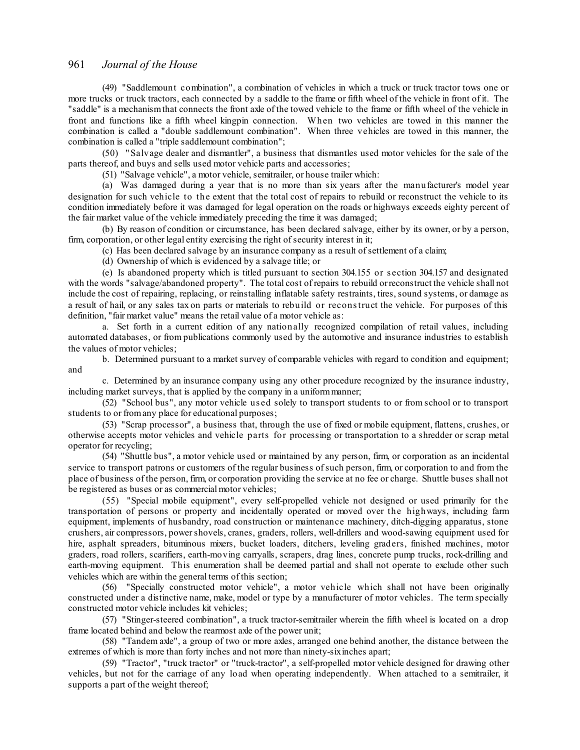(49) "Saddlemount combination", a combination of vehicles in which a truck or truck tractor tows one or more trucks or truck tractors, each connected by a saddle to the frame or fifth wheel of the vehicle in front of it. The "saddle" is a mechanismthat connects the front axle of the towed vehicle to the frame or fifth wheel of the vehicle in front and functions like a fifth wheel kingpin connection. When two vehicles are towed in this manner the combination is called a "double saddlemount combination". When three vehicles are towed in this manner, the combination is called a "triple saddlemount combination";

(50) "Salvage dealer and dismantler", a business that dismantles used motor vehicles for the sale of the parts thereof, and buys and sells used motor vehicle parts and accessories;

(51) "Salvage vehicle", a motor vehicle, semitrailer, or house trailer which:

(a) Was damaged during a year that is no more than six years after the manufacturer's model year designation for such vehicle to the extent that the total cost of repairs to rebuild or reconstruct the vehicle to its condition immediately before it was damaged for legal operation on the roads or highways exceeds eighty percent of the fair market value of the vehicle immediately preceding the time it was damaged;

(b) By reason of condition or circumstance, has been declared salvage, either by its owner, or by a person, firm, corporation, or other legal entity exercising the right of security interest in it;

(c) Has been declared salvage by an insurance company as a result ofsettlement of a claim;

(d) Ownership of which is evidenced by a salvage title; or

(e) Is abandoned property which is titled pursuant to section 304.155 or s ection 304.157 and designated with the words "salvage/abandoned property". The total cost of repairs to rebuild orreconstruct the vehicle shall not include the cost of repairing, replacing, or reinstalling inflatable safety restraints, tires, sound systems, or damage as a result of hail, or any sales tax on parts or materials to rebuild or reconstruct the vehicle. For purposes of this definition, "fair market value" means the retail value of a motor vehicle as:

a. Set forth in a current edition of any nationally recognized compilation of retail values, including automated databases, or from publications commonly used by the automotive and insurance industries to establish the values of motor vehicles;

b. Determined pursuant to a market survey of comparable vehicles with regard to condition and equipment; and

c. Determined by an insurance company using any other procedure recognized by the insurance industry, including market surveys, that is applied by the company in a uniformmanner;

(52) "School bus", any motor vehicle us ed solely to transport students to or from school or to transport students to or fromany place for educational purposes;

(53) "Scrap processor", a business that, through the use of fixed or mobile equipment, flattens, crushes, or otherwise accepts motor vehicles and vehicle parts for processing or transportation to a shredder or scrap metal operator for recycling;

(54) "Shuttle bus", a motor vehicle used or maintained by any person, firm, or corporation as an incidental service to transport patrons or customers of the regular business ofsuch person, firm, or corporation to and from the place of business of the person, firm, or corporation providing the service at no fee or charge. Shuttle buses shall not be registered as buses or as commercial motor vehicles;

(55) "Special mobile equipment", every self-propelled vehicle not designed or used primarily for the transportation of persons or property and incidentally operated or moved over the highways, including farm equipment, implements of husbandry, road construction or maintenance machinery, ditch-digging apparatus, stone crushers, air compressors, powershovels, cranes, graders, rollers, well-drillers and wood-sawing equipment used for hire, asphalt spreaders, bituminous mixers, bucket loaders, ditchers, leveling graders, finished machines, motor graders, road rollers, scarifiers, earth-moving carryalls, scrapers, drag lines, concrete pump trucks, rock-drilling and earth-moving equipment. This enumeration shall be deemed partial and shall not operate to exclude other such vehicles which are within the general terms of this section;

(56) "Specially constructed motor vehicle", a motor vehicle which shall not have been originally constructed under a distinctive name, make, model or type by a manufacturer of motor vehicles. The term specially constructed motor vehicle includes kit vehicles;

(57) "Stinger-steered combination", a truck tractor-semitrailer wherein the fifth wheel is located on a drop frame located behind and below the rearmost axle of the power unit;

(58) "Tandem axle", a group of two or more axles, arranged one behind another, the distance between the extremes of which is more than forty inches and not more than ninety-sixinches apart;

(59) "Tractor", "truck tractor" or "truck-tractor", a self-propelled motor vehicle designed for drawing other vehicles, but not for the carriage of any load when operating independently. When attached to a semitrailer, it supports a part of the weight thereof;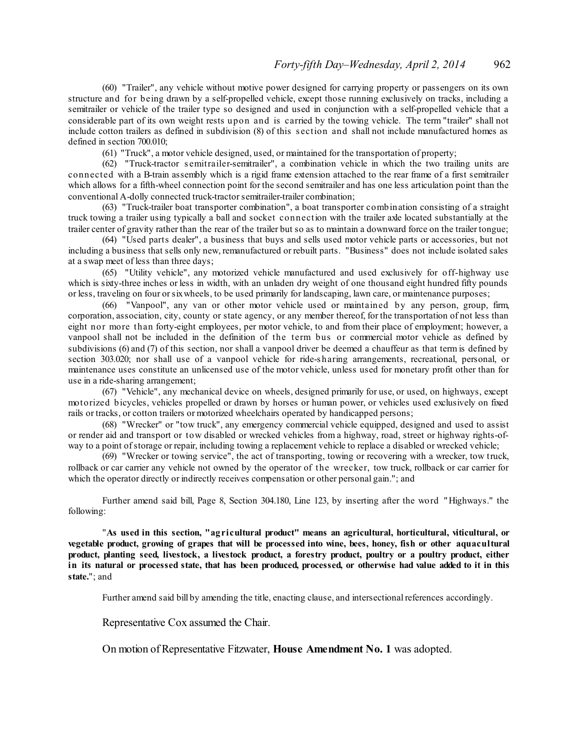(60) "Trailer", any vehicle without motive power designed for carrying property or passengers on its own structure and for being drawn by a self-propelled vehicle, except those running exclusively on tracks, including a semitrailer or vehicle of the trailer type so designed and used in conjunction with a self-propelled vehicle that a considerable part of its own weight rests upon and is carried by the towing vehicle. The term "trailer" shall not include cotton trailers as defined in subdivision (8) of this s ection and shall not include manufactured homes as defined in section 700.010;

(61) "Truck", a motor vehicle designed, used, or maintained for the transportation of property;

(62) "Truck-tractor s emitrailer-semitrailer", a combination vehicle in which the two trailing units are connected with a B-train assembly which is a rigid frame extension attached to the rear frame of a first semitrailer which allows for a fifth-wheel connection point for the second semitrailer and has one less articulation point than the conventional A-dolly connected truck-tractorsemitrailer-trailer combination;

(63) "Truck-trailer boat transporter combination", a boat transporter combination consisting of a straight truck towing a trailer using typically a ball and socket connection with the trailer axle located substantially at the trailer center of gravity rather than the rear of the trailer but so as to maintain a downward force on the trailer tongue;

(64) "Used parts dealer", a business that buys and sells used motor vehicle parts or accessories, but not including a business that sells only new, remanufactured or rebuilt parts. "Business" does not include isolated sales at a swap meet of less than three days;

(65) "Utility vehicle", any motorized vehicle manufactured and used exclusively for off-highway use which is sixty-three inches or less in width, with an unladen dry weight of one thousand eight hundred fifty pounds or less, traveling on four orsixwheels, to be used primarily for landscaping, lawn care, or maintenance purposes;

(66) "Vanpool", any van or other motor vehicle used or maintained by any person, group, firm, corporation, association, city, county or state agency, or any member thereof, for the transportation of not less than eight nor more than forty-eight employees, per motor vehicle, to and from their place of employment; however, a vanpool shall not be included in the definition of the term bus or commercial motor vehicle as defined by subdivisions (6) and (7) of this section, nor shall a vanpool driver be deemed a chauffeur as that term is defined by section 303.020; nor shall use of a vanpool vehicle for ride-s haring arrangements, recreational, personal, or maintenance uses constitute an unlicensed use of the motor vehicle, unless used for monetary profit other than for use in a ride-sharing arrangement;

(67) "Vehicle", any mechanical device on wheels, designed primarily for use, or used, on highways, except motorized bicycles, vehicles propelled or drawn by horses or human power, or vehicles used exclusively on fixed rails or tracks, or cotton trailers or motorized wheelchairs operated by handicapped persons;

(68) "Wrecker" or "tow truck", any emergency commercial vehicle equipped, designed and used to assist or render aid and transport or tow disabled or wrecked vehicles from a highway, road, street or highway rights-ofway to a point ofstorage or repair, including towing a replacement vehicle to replace a disabled or wrecked vehicle;

(69) "Wrecker or towing service", the act of transporting, towing or recovering with a wrecker, tow truck, rollback or car carrier any vehicle not owned by the operator of the wrecker, tow truck, rollback or car carrier for which the operator directly or indirectly receives compensation or other personal gain."; and

Further amend said bill, Page 8, Section 304.180, Line 123, by inserting after the word "Highways." the following:

"**As used in this section, "agricultural product" means an agricultural, horticultural, viticultural, or** vegetable product, growing of grapes that will be processed into wine, bees, honey, fish or other aquacultural **product, planting seed, livestock, a livestock product, a forestry product, poultry or a poultry product, either** in its natural or processed state, that has been produced, processed, or otherwise had value added to it in this **state.**"; and

Further amend said bill by amending the title, enacting clause, and intersectional references accordingly.

Representative Cox assumed the Chair.

On motion of Representative Fitzwater, **House Amendment No. 1** was adopted.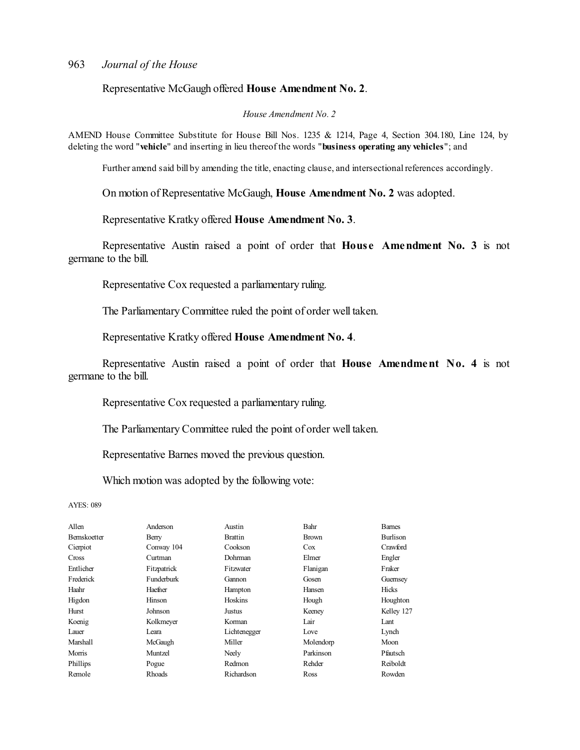Representative McGaugh offered **House Amendment No. 2**.

*House Amendment No. 2*

AMEND House Committee Substitute for House Bill Nos. 1235 & 1214, Page 4, Section 304.180, Line 124, by deleting the word "**vehicle**" and inserting in lieu thereof the words "**business operating any vehicles**"; and

Further amend said bill by amending the title, enacting clause, and intersectional references accordingly.

On motion of Representative McGaugh, **House Amendment No. 2** was adopted.

Representative Kratky offered **House Amendment No. 3**.

Representative Austin raised a point of order that **House Amendment No. 3** is not germane to the bill.

Representative Cox requested a parliamentary ruling.

The Parliamentary Committee ruled the point of order well taken.

Representative Kratky offered **House Amendment No. 4**.

Representative Austin raised a point of order that **House Amendment No. 4** is not germane to the bill.

Representative Cox requested a parliamentary ruling.

The Parliamentary Committee ruled the point of order well taken.

Representative Barnes moved the previous question.

Which motion was adopted by the following vote:

AYES: 089

| Allen               | Anderson    | Austin         | Bahr         | <b>Barnes</b> |
|---------------------|-------------|----------------|--------------|---------------|
| <b>Bernskoetter</b> | Berry       | <b>Brattin</b> | <b>Brown</b> | Burlison      |
| Cierpiot            | Conway 104  | Cookson        | Cox          | Crawford      |
| Cross               | Curtman     | <b>Dohrman</b> | Elmer        | Engler        |
| Entlicher           | Fitzpatrick | Fitzwater      | Flanigan     | Fraker        |
| Frederick           | Funderburk  | Gannon         | Gosen        | Guernsey      |
| Haahr               | Haefner     | Hampton        | Hansen       | <b>Hicks</b>  |
| Higdon              | Hinson      | Hoskins        | Hough        | Houghton      |
| Hurst               | Johnson     | Justus         | Keeney       | Kelley 127    |
| Koenig              | Kolkmeyer   | Korman         | Lair         | Lant          |
| Lauer               | Leara       | Lichtenegger   | Love         | Lynch         |
| <b>Marshall</b>     | McGaugh     | Miller         | Molendorp    | Moon          |
| Morris              | Muntzel     | Neely          | Parkinson    | Pfautsch      |
| Phillips            | Pogue       | Redmon         | Rehder       | Reiboldt      |
| Remole              | Rhoads      | Richardson     | Ross         | Rowden        |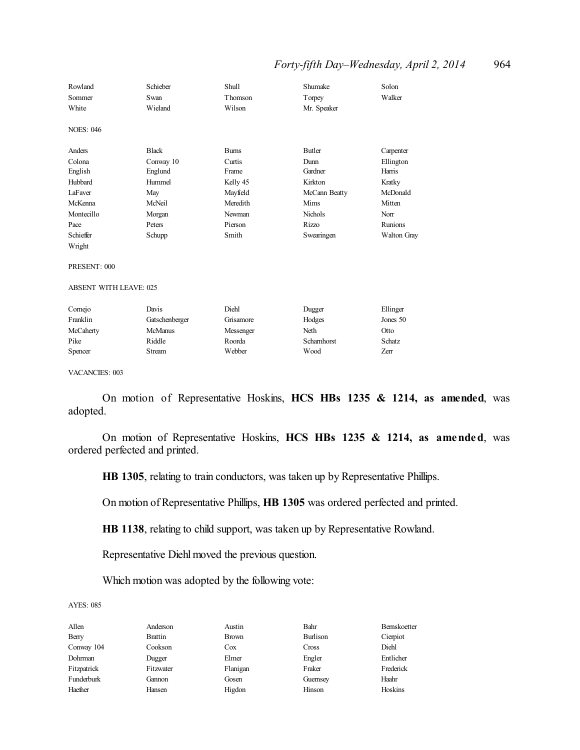#### *Forty-fifth Day–Wednesday, April 2, 2014* 964

| Rowland                       | Schieber       | <b>Shull</b> | Shumake        | Solon              |
|-------------------------------|----------------|--------------|----------------|--------------------|
| Sommer                        | Swan           | Thomson      | Torpey         | Walker             |
| White                         | Wieland        | Wilson       | Mr. Speaker    |                    |
|                               |                |              |                |                    |
| <b>NOES: 046</b>              |                |              |                |                    |
|                               |                |              |                |                    |
| Anders                        | <b>Black</b>   | <b>Burns</b> | <b>Butler</b>  | Carpenter          |
| Colona                        | Conway 10      | Curtis       | Dunn           | Ellington          |
| English                       | Englund        | Frame        | Gardner        | Harris             |
| Hubbard                       | Hummel         | Kelly 45     | Kirkton        | Kratky             |
| LaFaver                       | May            | Mayfield     | McCann Beatty  | McDonald           |
| McKenna                       | McNeil         | Meredith     | Mims           | Mitten             |
| Montecillo                    | Morgan         | Newman       | <b>Nichols</b> | Norr               |
| Pace                          | Peters         | Pierson      | <b>Rizzo</b>   | <b>Runions</b>     |
| Schieffer                     | Schupp         | Smith        | Swearingen     | <b>Walton Gray</b> |
| Wright                        |                |              |                |                    |
|                               |                |              |                |                    |
| PRESENT: 000                  |                |              |                |                    |
|                               |                |              |                |                    |
| <b>ABSENT WITH LEAVE: 025</b> |                |              |                |                    |
| Comejo                        | Davis          | Diehl        | Dugger         | Ellinger           |
| Franklin                      |                |              |                | Jones 50           |
|                               | Gatschenberger | Grisamore    | Hodges         |                    |
| McCaherty                     | <b>McManus</b> | Messenger    | Neth           | Otto               |
| Pike                          | Riddle         | Roorda       | Schamhorst     | Schatz             |
| Spencer                       | <b>Stream</b>  | Webber       | Wood           | Zerr               |
|                               |                |              |                |                    |

VACANCIES: 003

On motion of Representative Hoskins, **HCS HBs 1235 & 1214, as amended**, was adopted.

On motion of Representative Hoskins, **HCS HBs 1235 & 1214, as amended**, was ordered perfected and printed.

**HB 1305**, relating to train conductors, was taken up by Representative Phillips.

On motion of Representative Phillips, **HB 1305** was ordered perfected and printed.

**HB 1138**, relating to child support, was taken up by Representative Rowland.

Representative Diehl moved the previous question.

Which motion was adopted by the following vote:

#### AYES: 085

Allen Anderson Austin Bahr Bernskoetter Berry Brattin Brown Burlison Cierpiot Conway 104 Cookson Cox Cross Diehl Dohrman Dugger Elmer Engler Entlicher Fitzpatrick Fitzwater Flanigan Fraker Frederick Funderburk Gannon Gosen Guernsey Haahr

Haefner Hansen Higdon Hinson Hoskins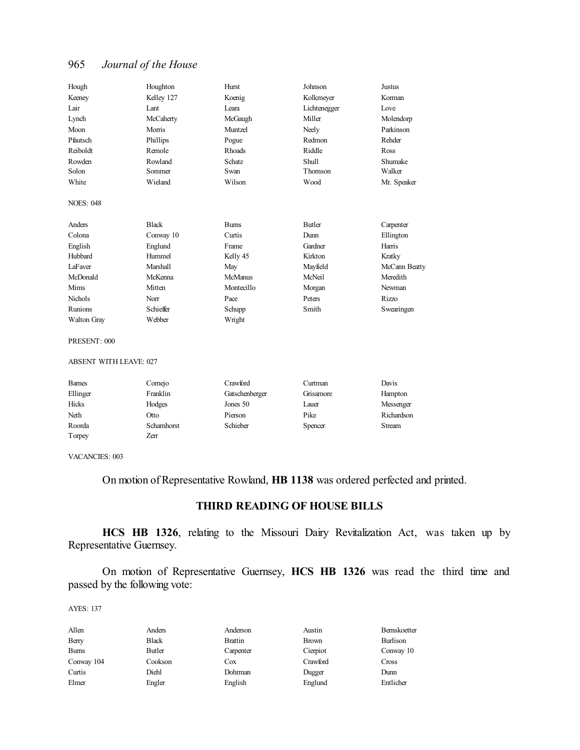| Hough                         | Houghton        | Hurst          | Johnson       | <b>Justus</b> |
|-------------------------------|-----------------|----------------|---------------|---------------|
| Keeney                        | Kelley 127      | Koenig         | Kolkmeyer     | Korman        |
| Lair                          | Lant            | I eara         | Lichtenegger  | Love          |
| Lynch                         | McCaherty       | McGaugh        | Miller        | Molendorp     |
| Moon                          | Morris          | Muntzel        | Neely         | Parkinson     |
| Pfautsch                      | Phillips        | Pogue          | Redmon        | Rehder        |
| Reiboldt                      | Remole          | Rhoads         | Riddle        | Ross          |
| Rowden                        | Rowland         | <b>Schatz</b>  | <b>Shull</b>  | Shumake       |
| Solon                         | Sommer          | Swan           | Thomson       | Walker        |
| White                         | Wieland         | Wilson         | Wood          | Mr. Speaker   |
| <b>NOES: 048</b>              |                 |                |               |               |
| Anders                        | <b>Black</b>    | <b>Burns</b>   | <b>Butler</b> | Carpenter     |
| Colona                        | Conway 10       | Curtis         | Dunn          | Ellington     |
| English                       | Englund         | Frame          | Gardner       | Harris        |
| Hubbard                       | Hummel          | Kelly 45       | Kirkton       | Kratky        |
| LaFaver                       | Marshall        | May            | Mayfield      | McCann Beatty |
| McDonald                      | McKenna         | McManus        | McNeil        | Meredith      |
| Mims                          | Mitten          | Montecillo     | Morgan        | Newman        |
| <b>Nichols</b>                | Norr            | Pace           | Peters        | <b>Rizzo</b>  |
| Runions                       | Schieffer       | Schupp         | Smith         | Swearingen    |
| Walton Gray                   | Webber          | Wright         |               |               |
| PRESENT: 000                  |                 |                |               |               |
| <b>ABSENT WITH LEAVE: 027</b> |                 |                |               |               |
| <b>Barnes</b>                 | Cornejo         | Crawford       | Curtman       | Davis         |
| Ellinger                      | Franklin        | Gatschenberger | Grisamore     | Hampton       |
| <b>TT' 1</b>                  | $T$ $T$ $T$ $T$ | $\sim$         | т.            | $\mathbf{r}$  |

|          | -------     |                |           |            |
|----------|-------------|----------------|-----------|------------|
| Ellinger | Franklin    | Gatschenberger | Grisamore | Hampton    |
| Hicks    | Hodges      | Jones 50       | Lauer     | Messenger  |
| Neth     | Otto        | Pierson        | Pike      | Richardson |
| Roorda   | Scharnhorst | Schieber       | Spencer   | Stream     |
| Torpey   | Zerr        |                |           |            |

VACANCIES: 003

On motion of Representative Rowland, **HB 1138** was ordered perfected and printed.

## **THIRD READING OF HOUSE BILLS**

**HCS HB 1326**, relating to the Missouri Dairy Revitalization Act, was taken up by Representative Guernsey.

On motion of Representative Guernsey, **HCS HB 1326** was read the third time and passed by the following vote:

AYES: 137

| Allen        | Anders       | Anderson       | Austin       | Bernskoetter |
|--------------|--------------|----------------|--------------|--------------|
| Berry        | <b>Black</b> | <b>Brattin</b> | <b>Brown</b> | Burlison     |
| <b>Burns</b> | Butler       | Carpenter      | Cierpiot     | Conway 10    |
| Conway 104   | Cookson      | Cox            | Crawford     | Cross        |
| Curtis       | Diehl        | Dohrman        | Dugger       | Dunn         |
| Elmer        | Engler       | English        | Englund      | Entlicher    |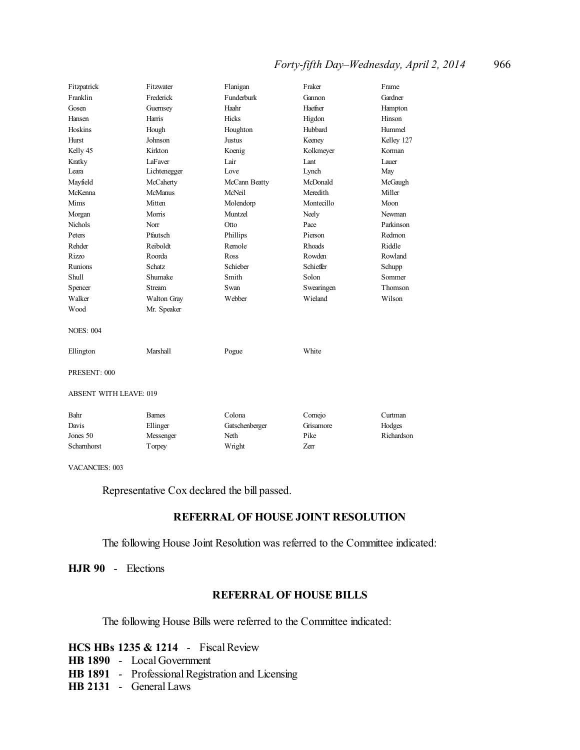## *Forty-fifth Day–Wednesday, April 2, 2014* 966

| Fitzpatrick                   | Fitzwater      | Flanigan       | Fraker        | Frame      |
|-------------------------------|----------------|----------------|---------------|------------|
| Franklin                      | Frederick      | Funderburk     | Gannon        | Gardner    |
| Gosen                         | Guernsey       | Haahr          | Haefner       | Hampton    |
| Hansen                        | Harris         | <b>Hicks</b>   | Higdon        | Hinson     |
| Hoskins                       | Hough          | Houghton       | Hubbard       | Hummel     |
| Hurst                         | Johnson        | Justus         | Keeney        | Kelley 127 |
| Kelly 45                      | Kirkton        | Koenig         | Kolkmeyer     | Korman     |
| Kratky                        | LaFaver        | Lair           | Lant          | Lauer      |
| Leara                         | Lichtenegger   | Love           | Lynch         | May        |
| Mayfield                      | McCaherty      | McCann Beatty  | McDonald      | McGaugh    |
| McKenna                       | <b>McManus</b> | McNeil         | Meredith      | Miller     |
| Mims                          | Mitten         | Molendorp      | Montecillo    | Moon       |
| Morgan                        | Morris         | Muntzel        | Neely         | Newman     |
| Nichols                       | Norr           | Otto           | Pace          | Parkinson  |
| Peters                        | Pfautsch       | Phillips       | Pierson       | Redmon     |
| Rehder                        | Reiboldt       | Remole         | <b>Rhoads</b> | Riddle     |
| <b>Rizzo</b>                  | Roorda         | Ross           | Rowden        | Rowland    |
| Runions                       | Schatz         | Schieber       | Schieffer     | Schupp     |
| Shull                         | Shumake        | Smith          | Solon         | Sommer     |
| Spencer                       | <b>Stream</b>  | Swan           | Swearingen    | Thomson    |
| Walker                        | Walton Gray    | Webber         | Wieland       | Wilson     |
| Wood                          | Mr. Speaker    |                |               |            |
| <b>NOES: 004</b>              |                |                |               |            |
| Ellington                     | Marshall       | Pogue          | White         |            |
| PRESENT: 000                  |                |                |               |            |
|                               |                |                |               |            |
| <b>ABSENT WITH LEAVE: 019</b> |                |                |               |            |
| Bahr                          | <b>Barnes</b>  | Colona         | Cornejo       | Curtman    |
| Davis                         | Ellinger       | Gatschenberger | Grisamore     | Hodges     |
| Jones 50                      | Messenger      | Neth           | Pike          | Richardson |
| Schamhorst                    | Torpey         | Wright         | <b>Zerr</b>   |            |

VACANCIES: 003

Representative Cox declared the bill passed.

## **REFERRAL OF HOUSE JOINT RESOLUTION**

The following House Joint Resolution was referred to the Committee indicated:

**HJR 90** - Elections

## **REFERRAL OF HOUSE BILLS**

The following House Bills were referred to the Committee indicated:

|  | HCS HBs 1235 & 1214 | <b>Fiscal Review</b> |
|--|---------------------|----------------------|
|  |                     |                      |

- **HB 1890** Local Government
- **HB 1891** Professional Registration and Licensing
- **HB 2131** General Laws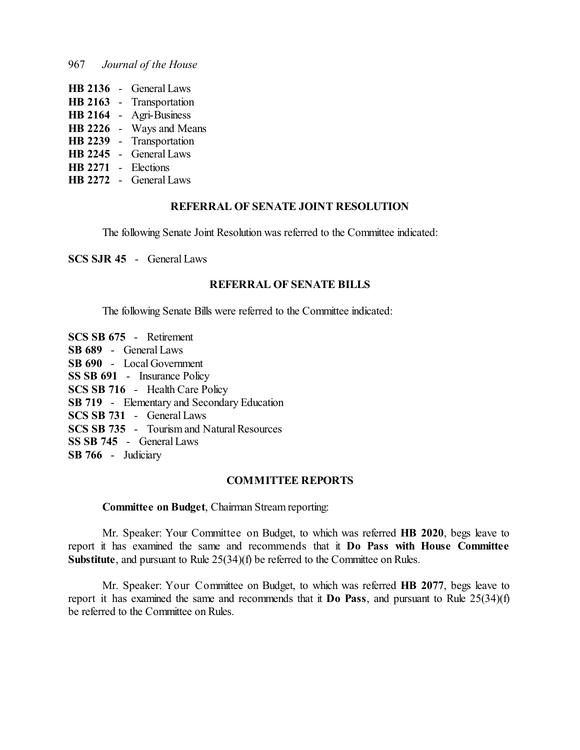| HB 2136        | <b>General Laws</b> |
|----------------|---------------------|
| HB 2163        | Transportation      |
| <b>HB 2164</b> | Agri-Business       |
| HB 2226        | Ways and Means      |
| <b>HB 2239</b> | Transportation      |
| HB 2245        | <b>General Laws</b> |
| HB 2271        | Elections           |
| HB 2272        | <b>General Laws</b> |

#### **REFERRAL OF SENATE JOINT RESOLUTION**

The following Senate Joint Resolution was referred to the Committee indicated:

**SCS SJR 45** - General Laws

## **REFERRAL OF SENATE BILLS**

The following Senate Bills were referred to the Committee indicated:

**SCS SB 675** - Retirement **SB 689** - General Laws **SB 690** - Local Government **SS SB 691** - Insurance Policy **SCS SB 716** - Health Care Policy **SB 719** - Elementary and Secondary Education **SCS SB 731** - General Laws **SCS SB 735** - Tourism and Natural Resources **SS SB 745** - General Laws **SB 766** - Judiciary

#### **COMMITTEE REPORTS**

#### **Committee on Budget**, Chairman Stream reporting:

Mr. Speaker: Your Committee on Budget, to which was referred **HB 2020**, begs leave to report it has examined the same and recommends that it **Do Pass with House Committee Substitute**, and pursuant to Rule 25(34)(f) be referred to the Committee on Rules.

Mr. Speaker: Your Committee on Budget, to which was referred **HB 2077**, begs leave to report it has examined the same and recommends that it **Do Pass**, and pursuant to Rule 25(34)(f) be referred to the Committee on Rules.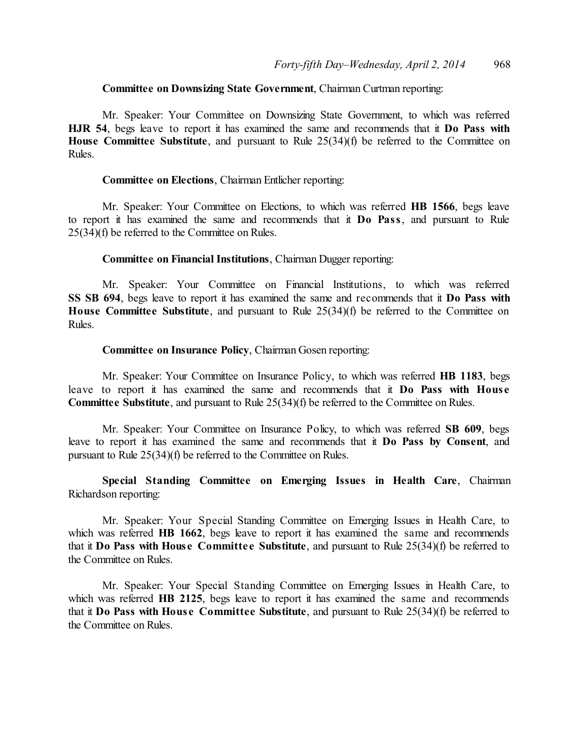## **Committee on Downsizing State Government**, Chairman Curtman reporting:

Mr. Speaker: Your Committee on Downsizing State Government, to which was referred **HJR 54**, begs leave to report it has examined the same and recommends that it **Do Pass with House Committee Substitute**, and pursuant to Rule 25(34)(f) be referred to the Committee on Rules.

#### **Committee on Elections**, Chairman Entlicher reporting:

Mr. Speaker: Your Committee on Elections, to which was referred **HB 1566**, begs leave to report it has examined the same and recommends that it **Do Pass**, and pursuant to Rule 25(34)(f) be referred to the Committee on Rules.

#### **Committee on Financial Institutions**, Chairman Dugger reporting:

Mr. Speaker: Your Committee on Financial Institutions, to which was referred **SS SB 694**, begs leave to report it has examined the same and recommends that it **Do Pass with House Committee Substitute**, and pursuant to Rule 25(34)(f) be referred to the Committee on Rules.

#### **Committee on Insurance Policy**, Chairman Gosen reporting:

Mr. Speaker: Your Committee on Insurance Policy, to which was referred **HB 1183**, begs leave to report it has examined the same and recommends that it **Do Pass with Hous e Committee Substitute**, and pursuant to Rule 25(34)(f) be referred to the Committee on Rules.

Mr. Speaker: Your Committee on Insurance Policy, to which was referred **SB 609**, begs leave to report it has examined the same and recommends that it **Do Pass by Consent**, and pursuant to Rule 25(34)(f) be referred to the Committee on Rules.

**Special Standing Committee on Emerging Issues in Health Care**, Chairman Richardson reporting:

Mr. Speaker: Your Special Standing Committee on Emerging Issues in Health Care, to which was referred **HB 1662**, begs leave to report it has examined the same and recommends that it **Do Pass with House Committe e Substitute**, and pursuant to Rule 25(34)(f) be referred to the Committee on Rules.

Mr. Speaker: Your Special Standing Committee on Emerging Issues in Health Care, to which was referred **HB 2125**, begs leave to report it has examined the same and recommends that it **Do Pass with Hous e Committee Substitute**, and pursuant to Rule 25(34)(f) be referred to the Committee on Rules.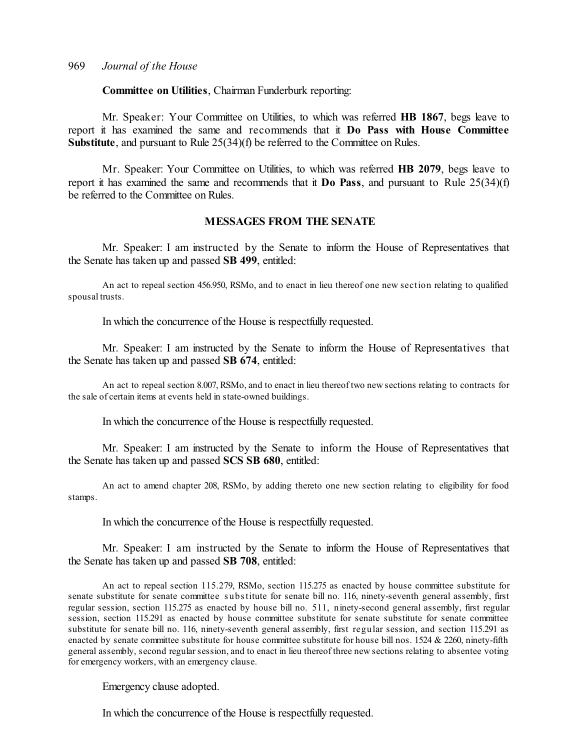#### **Committee on Utilities**, Chairman Funderburk reporting:

Mr. Speaker: Your Committee on Utilities, to which was referred **HB 1867**, begs leave to report it has examined the same and recommends that it **Do Pass with House Committee Substitute**, and pursuant to Rule 25(34)(f) be referred to the Committee on Rules.

Mr. Speaker: Your Committee on Utilities, to which was referred **HB 2079**, begs leave to report it has examined the same and recommends that it **Do Pass**, and pursuant to Rule 25(34)(f) be referred to the Committee on Rules.

#### **MESSAGES FROM THE SENATE**

Mr. Speaker: I am instructed by the Senate to inform the House of Representatives that the Senate has taken up and passed **SB 499**, entitled:

An act to repeal section 456.950, RSMo, and to enact in lieu thereof one new section relating to qualified spousal trusts.

In which the concurrence of the House is respectfully requested.

Mr. Speaker: I am instructed by the Senate to inform the House of Representatives that the Senate has taken up and passed **SB 674**, entitled:

An act to repeal section 8.007, RSMo, and to enact in lieu thereof two new sections relating to contracts for the sale of certain items at events held in state-owned buildings.

In which the concurrence of the House is respectfully requested.

Mr. Speaker: I am instructed by the Senate to inform the House of Representatives that the Senate has taken up and passed **SCS SB 680**, entitled:

An act to amend chapter 208, RSMo, by adding thereto one new section relating to eligibility for food stamps.

In which the concurrence of the House is respectfully requested.

Mr. Speaker: I am instructed by the Senate to inform the House of Representatives that the Senate has taken up and passed **SB 708**, entitled:

An act to repeal section 115.279, RSMo, section 115.275 as enacted by house committee substitute for senate substitute for senate committee s ubstitute for senate bill no. 116, ninety-seventh general assembly, first regular session, section 115.275 as enacted by house bill no. 511, ninety-second general assembly, first regular session, section 115.291 as enacted by house committee substitute for senate substitute for senate committee substitute for senate bill no. 116, ninety-seventh general assembly, first regular session, and section 115.291 as enacted by senate committee substitute for house committee substitute for house bill nos. 1524 & 2260, ninety-fifth general assembly, second regular session, and to enact in lieu thereof three new sections relating to absentee voting for emergency workers, with an emergency clause.

Emergency clause adopted.

In which the concurrence of the House is respectfully requested.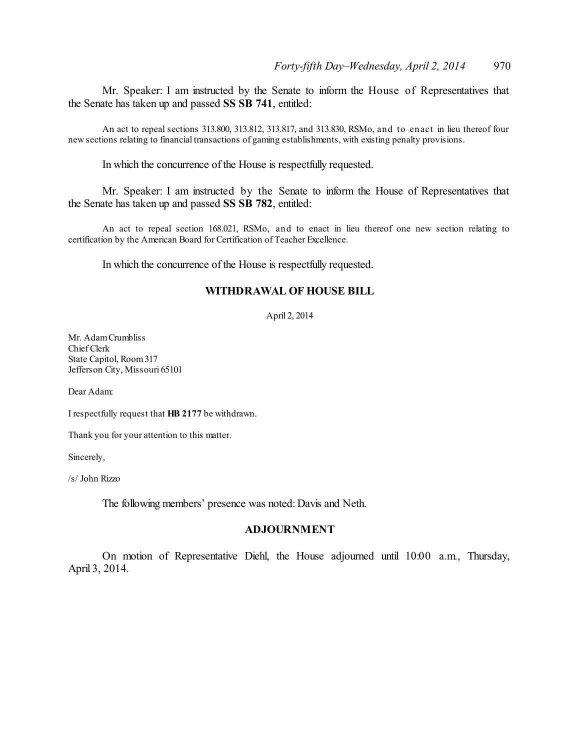Mr. Speaker: I am instructed by the Senate to inform the House of Representatives that the Senate has taken up and passed **SS SB 741**, entitled:

An act to repeal sections 313.800, 313.812, 313.817, and 313.830, RSMo, and to enact in lieu thereof four new sections relating to financial transactions of gaming establishments, with existing penalty provisions.

In which the concurrence of the House is respectfully requested.

Mr. Speaker: I am instructed by the Senate to inform the House of Representatives that the Senate has taken up and passed **SS SB 782**, entitled:

An act to repeal section 168.021, RSMo, and to enact in lieu thereof one new section relating to certification by the American Board for Certification of Teacher Excellence.

In which the concurrence of the House is respectfully requested.

#### **WITHDRAWAL OF HOUSE BILL**

April 2, 2014

Mr. AdamCrumbliss Chief Clerk State Capitol, Room317 Jefferson City, Missouri 65101

Dear Adam:

I respectfully request that **HB 2177** be withdrawn.

Thank you for your attention to this matter.

Sincerely,

/s/ John Rizzo

The following members' presence was noted: Davis and Neth.

#### **ADJOURNMENT**

On motion of Representative Diehl, the House adjourned until 10:00 a.m., Thursday, April 3, 2014.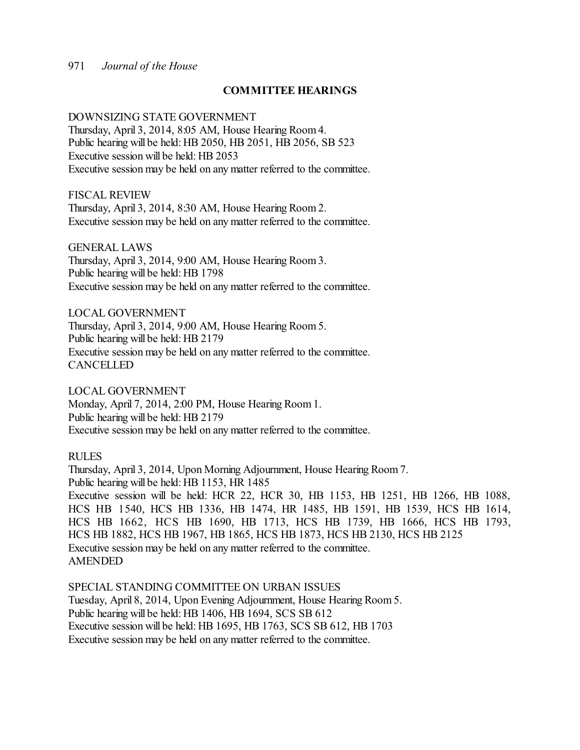#### **COMMITTEE HEARINGS**

#### DOWNSIZING STATE GOVERNMENT

Thursday, April 3, 2014, 8:05 AM, House Hearing Room 4. Public hearing will be held: HB 2050, HB 2051, HB 2056, SB 523 Executive session will be held: HB 2053 Executive session may be held on any matter referred to the committee.

FISCAL REVIEW

Thursday, April 3, 2014, 8:30 AM, House Hearing Room 2. Executive session may be held on any matter referred to the committee.

GENERAL LAWS Thursday, April 3, 2014, 9:00 AM, House Hearing Room 3. Public hearing will be held: HB 1798 Executive session may be held on any matter referred to the committee.

LOCAL GOVERNMENT Thursday, April 3, 2014, 9:00 AM, House Hearing Room 5. Public hearing will be held: HB 2179 Executive session may be held on any matter referred to the committee. **CANCELLED** 

LOCAL GOVERNMENT Monday, April 7, 2014, 2:00 PM, House Hearing Room 1. Public hearing will be held: HB 2179 Executive session may be held on any matter referred to the committee.

#### RULES

Thursday, April 3, 2014, Upon Morning Adjournment, House Hearing Room 7. Public hearing will be held: HB 1153, HR 1485 Executive session will be held: HCR 22, HCR 30, HB 1153, HB 1251, HB 1266, HB 1088, HCS HB 1540, HCS HB 1336, HB 1474, HR 1485, HB 1591, HB 1539, HCS HB 1614, HCS HB 1662, HCS HB 1690, HB 1713, HCS HB 1739, HB 1666, HCS HB 1793, HCS HB 1882, HCS HB 1967, HB 1865, HCS HB 1873, HCS HB 2130, HCS HB 2125 Executive session may be held on any matter referred to the committee. AMENDED

SPECIAL STANDING COMMITTEE ON URBAN ISSUES Tuesday, April 8, 2014, Upon Evening Adjournment, House Hearing Room 5. Public hearing will be held: HB 1406, HB 1694, SCS SB 612 Executive session will be held: HB 1695, HB 1763, SCS SB 612, HB 1703 Executive session may be held on any matter referred to the committee.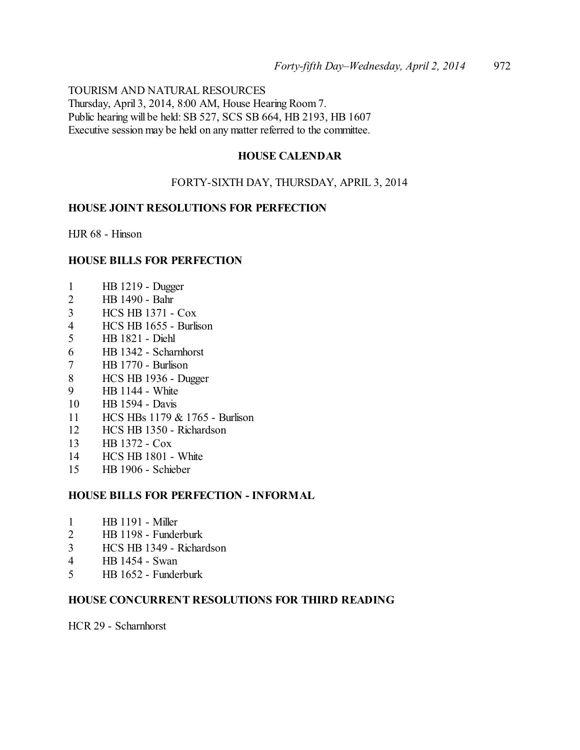TOURISM AND NATURAL RESOURCES Thursday, April 3, 2014, 8:00 AM, House Hearing Room 7. Public hearing will be held: SB 527, SCS SB 664, HB 2193, HB 1607 Executive session may be held on any matter referred to the committee.

## **HOUSE CALENDAR**

## FORTY-SIXTH DAY, THURSDAY, APRIL 3, 2014

#### **HOUSE JOINT RESOLUTIONS FOR PERFECTION**

HJR 68 - Hinson

## **HOUSE BILLS FOR PERFECTION**

- HB 1219 Dugger
- HB 1490 Bahr
- HCS HB 1371 Cox
- HCS HB 1655 Burlison
- HB 1821 Diehl
- HB 1342 Scharnhorst
- HB 1770 Burlison
- HCS HB 1936 Dugger
- HB 1144 White
- HB 1594 Davis
- HCS HBs 1179 & 1765 Burlison
- HCS HB 1350 Richardson
- HB 1372 Cox
- HCS HB 1801 White
- HB 1906 Schieber

## **HOUSE BILLS FOR PERFECTION - INFORMAL**

- HB 1191 Miller
- HB 1198 Funderburk
- HCS HB 1349 Richardson
- HB 1454 Swan
- HB 1652 Funderburk

## **HOUSE CONCURRENT RESOLUTIONS FOR THIRD READING**

HCR 29 - Scharnhorst